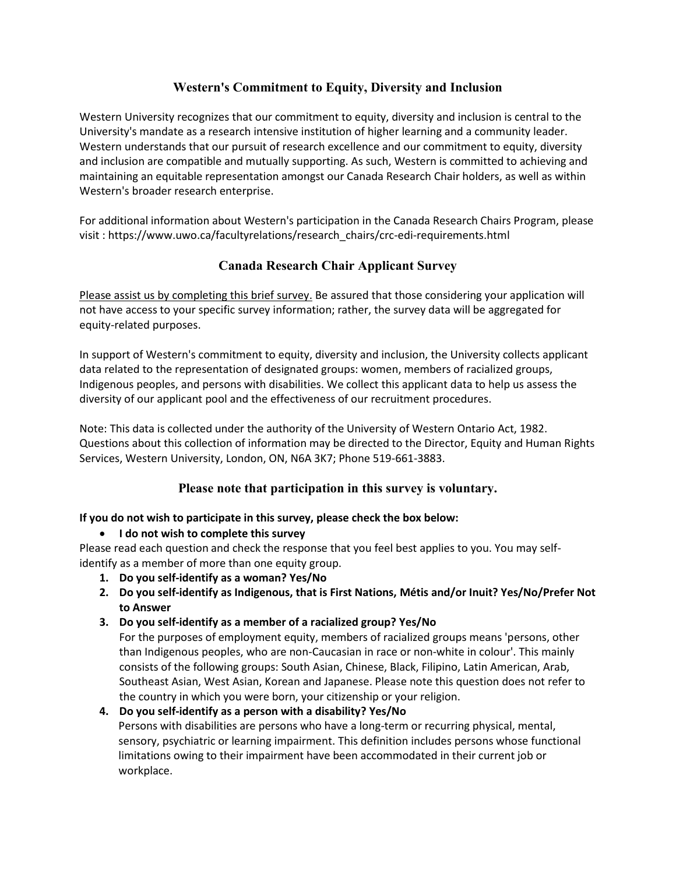# **Western's Commitment to Equity, Diversity and Inclusion**

Western University recognizes that our commitment to equity, diversity and inclusion is central to the University's mandate as a research intensive institution of higher learning and a community leader. Western understands that our pursuit of research excellence and our commitment to equity, diversity and inclusion are compatible and mutually supporting. As such, Western is committed to achieving and maintaining an equitable representation amongst our Canada Research Chair holders, as well as within Western's broader research enterprise.

For additional information about Western's participation in the Canada Research Chairs Program, please visit : [https://www.uwo.ca/facultyrelations/research\\_chairs/crc-edi-requirements.html](https://www.uwo.ca/facultyrelations/research_chairs/crc-edi-requirements.html)

# **Canada Research Chair Applicant Survey**

Please assist us by completing this brief survey. Be assured that those considering your application will not have access to your specific survey information; rather, the survey data will be aggregated for equity-related purposes.

In support of Western's commitment to equity, diversity and inclusion, the University collects applicant data related to the representation of designated groups: women, members of racialized groups, Indigenous peoples, and persons with disabilities. We collect this applicant data to help us assess the diversity of our applicant pool and the effectiveness of our recruitment procedures.

Note: This data is collected under the authority of the University of Western Ontario Act, 1982. Questions about this collection of information may be directed to the Director, Equity and Human Rights Services, Western University, London, ON, N6A 3K7; Phone 519-661-3883.

## **Please note that participation in this survey is voluntary.**

### **If you do not wish to participate in this survey, please check the box below:**

**I do not wish to complete this survey**

Please read each question and check the response that you feel best applies to you. You may selfidentify as a member of more than one equity group.

- **1. Do you self-identify as a woman? Yes/No**
- **2. Do you self-identify as Indigenous, that is First Nations, Métis and/or Inuit? Yes/No/Prefer Not to Answer**
- **3. Do you self-identify as a member of a racialized group? Yes/No**

For the purposes of employment equity, members of racialized groups means 'persons, other than Indigenous peoples, who are non-Caucasian in race or non-white in colour'. This mainly consists of the following groups: South Asian, Chinese, Black, Filipino, Latin American, Arab, Southeast Asian, West Asian, Korean and Japanese. Please note this question does not refer to the country in which you were born, your citizenship or your religion.

### **4. Do you self-identify as a person with a disability? Yes/No**

Persons with disabilities are persons who have a long-term or recurring physical, mental, sensory, psychiatric or learning impairment. This definition includes persons whose functional limitations owing to their impairment have been accommodated in their current job or workplace.